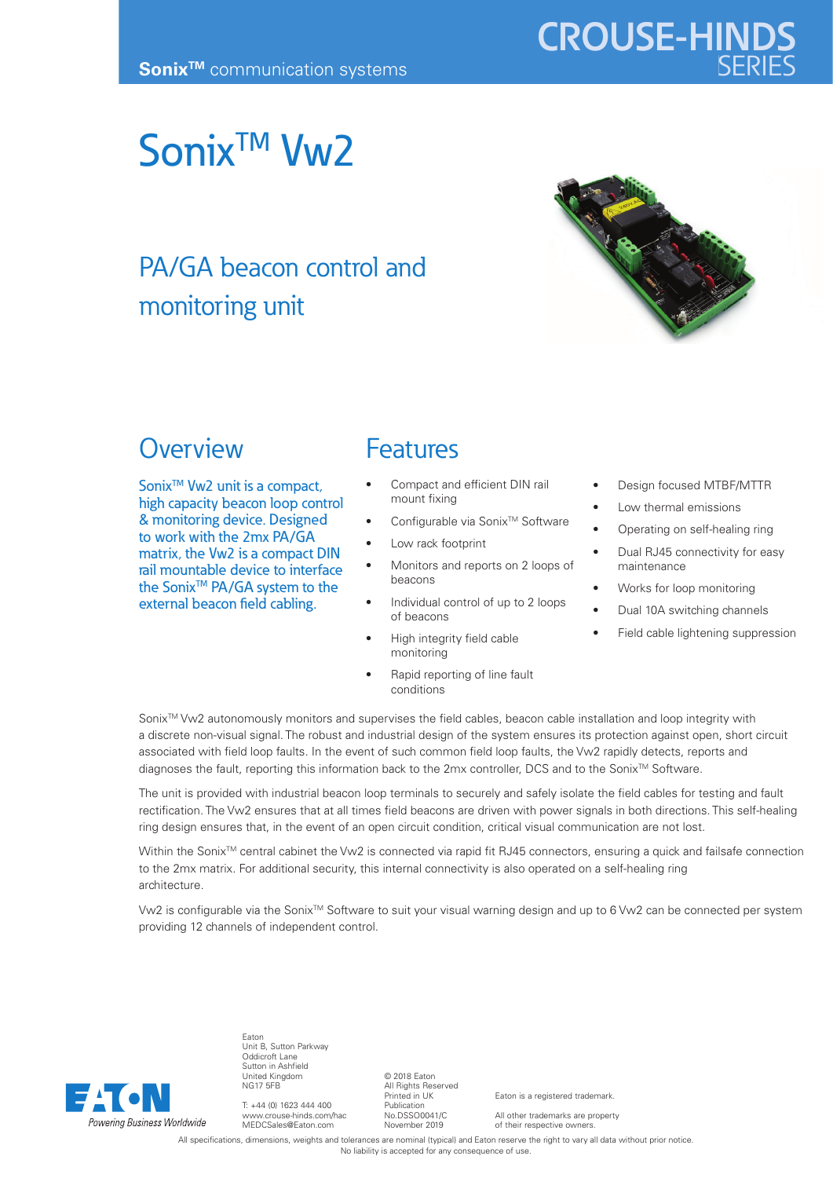# Sonix<sup>™</sup> Vw<sub>2</sub>

## PA/GA beacon control and monitoring unit



### **Overview**

Sonix<sup>™</sup> Vw2 unit is a compact, high capacity beacon loop control & monitoring device. Designed to work with the 2mx PA/GA matrix, the Vw2 is a compact DIN rail mountable device to interface the Sonix<sup>™</sup> PA/GA system to the external beacon field cabling.

#### Features

- Compact and efficient DIN rail mount fixing
- Configurable via Sonix<sup>™</sup> Software
- Low rack footprint
- Monitors and reports on 2 loops of beacons
- Individual control of up to 2 loops of beacons
- High integrity field cable monitoring
- Rapid reporting of line fault conditions
- Design focused MTBF/MTTR
- Low thermal emissions
- Operating on self-healing ring
- Dual RJ45 connectivity for easy maintenance
- Works for loop monitoring
- Dual 10A switching channels
- Field cable lightening suppression

Sonix<sup>™</sup> Vw2 autonomously monitors and supervises the field cables, beacon cable installation and loop integrity with a discrete non-visual signal. The robust and industrial design of the system ensures its protection against open, short circuit associated with field loop faults. In the event of such common field loop faults, the Vw2 rapidly detects, reports and diagnoses the fault, reporting this information back to the 2mx controller, DCS and to the Sonix™ Software.

The unit is provided with industrial beacon loop terminals to securely and safely isolate the field cables for testing and fault rectification. The Vw2 ensures that at all times field beacons are driven with power signals in both directions. This self-healing ring design ensures that, in the event of an open circuit condition, critical visual communication are not lost.

Within the Sonix<sup>™</sup> central cabinet the Vw2 is connected via rapid fit RJ45 connectors, ensuring a quick and failsafe connection to the 2mx matrix. For additional security, this internal connectivity is also operated on a self-healing ring architecture.

Vw2 is configurable via the Sonix™ Software to suit your visual warning design and up to 6 Vw2 can be connected per system providing 12 channels of independent control.



Eaton Unit B, Sutton Parkway Oddicroft Lane Sutton in Ashfield United Kingdom NG17 5FB

T: +44 (0) 1623 444 400 www.crouse-hinds.com/hac MEDCSales@Eaton.com

© 2018 Eaton All Rights Reserved Printed in UK Publication No.DSSO0041/C November 2019

Eaton is a registered trademark.

All other trademarks are property of their respective owners.

All specifications, dimensions, weights and tolerances are nominal (typical) and Eaton reserve the right to vary all data without prior notice. No liability is accepted for any consequence of use.